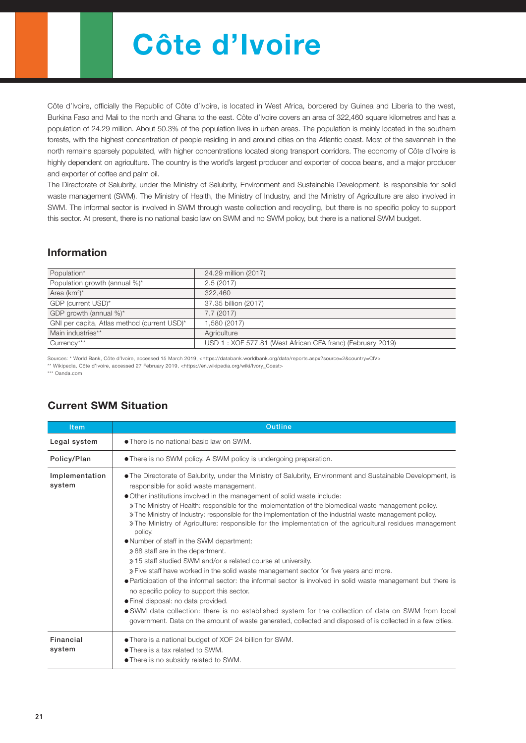# Côte d'Ivoire

Côte d'Ivoire, officially the Republic of Côte d'Ivoire, is located in West Africa, bordered by Guinea and Liberia to the west, Burkina Faso and Mali to the north and Ghana to the east. Côte d'Ivoire covers an area of 322,460 square kilometres and has a population of 24.29 million. About 50.3% of the population lives in urban areas. The population is mainly located in the southern forests, with the highest concentration of people residing in and around cities on the Atlantic coast. Most of the savannah in the north remains sparsely populated, with higher concentrations located along transport corridors. The economy of Côte d'Ivoire is highly dependent on agriculture. The country is the world's largest producer and exporter of cocoa beans, and a major producer and exporter of coffee and palm oil.

The Directorate of Salubrity, under the Ministry of Salubrity, Environment and Sustainable Development, is responsible for solid waste management (SWM). The Ministry of Health, the Ministry of Industry, and the Ministry of Agriculture are also involved in SWM. The informal sector is involved in SWM through waste collection and recycling, but there is no specific policy to support this sector. At present, there is no national basic law on SWM and no SWM policy, but there is a national SWM budget.

### Information

| Population*                                 | 24.29 million (2017)                                       |
|---------------------------------------------|------------------------------------------------------------|
| Population growth (annual %)*               | 2.5(2017)                                                  |
| Area $(km^2)^*$                             | 322,460                                                    |
| GDP (current USD)*                          | 37.35 billion (2017)                                       |
| GDP growth (annual %)*                      | 7.7(2017)                                                  |
| GNI per capita, Atlas method (current USD)* | 1,580 (2017)                                               |
| Main industries**                           | Agriculture                                                |
| Currency***                                 | USD 1: XOF 577.81 (West African CFA franc) (February 2019) |

Sources: \* World Bank, Côte d'Ivoire, accessed 15 March 2019, <https://databank.worldbank.org/data/reports.aspx?source=2&country=CIV>

\*\* Wikipedia, Côte d'Ivoire, accessed 27 February 2019, <https://en.wikipedia.org/wiki/Ivory\_Coast>

\*\*\* Oanda.com

| <b>Item</b>              | <b>Outline</b>                                                                                                                                                                                                                                                                                                                                                                                                                                                                                                                                                                                                                                                                                                                                                                                                                                                                                                                                                                                                                                                                                                                                                                                                                                         |  |  |  |  |  |
|--------------------------|--------------------------------------------------------------------------------------------------------------------------------------------------------------------------------------------------------------------------------------------------------------------------------------------------------------------------------------------------------------------------------------------------------------------------------------------------------------------------------------------------------------------------------------------------------------------------------------------------------------------------------------------------------------------------------------------------------------------------------------------------------------------------------------------------------------------------------------------------------------------------------------------------------------------------------------------------------------------------------------------------------------------------------------------------------------------------------------------------------------------------------------------------------------------------------------------------------------------------------------------------------|--|--|--|--|--|
| Legal system             | • There is no national basic law on SWM.                                                                                                                                                                                                                                                                                                                                                                                                                                                                                                                                                                                                                                                                                                                                                                                                                                                                                                                                                                                                                                                                                                                                                                                                               |  |  |  |  |  |
| Policy/Plan              | • There is no SWM policy. A SWM policy is undergoing preparation.                                                                                                                                                                                                                                                                                                                                                                                                                                                                                                                                                                                                                                                                                                                                                                                                                                                                                                                                                                                                                                                                                                                                                                                      |  |  |  |  |  |
| Implementation<br>system | • The Directorate of Salubrity, under the Ministry of Salubrity, Environment and Sustainable Development, is<br>responsible for solid waste management.<br>.Other institutions involved in the management of solid waste include:<br>» The Ministry of Health: responsible for the implementation of the biomedical waste management policy.<br>» The Ministry of Industry: responsible for the implementation of the industrial waste management policy.<br>The Ministry of Agriculture: responsible for the implementation of the agricultural residues management<br>policy.<br>• Number of staff in the SWM department:<br>» 68 staff are in the department.<br>» 15 staff studied SWM and/or a related course at university.<br>» Five staff have worked in the solid waste management sector for five years and more.<br>• Participation of the informal sector: the informal sector is involved in solid waste management but there is<br>no specific policy to support this sector.<br>• Final disposal: no data provided.<br>• SWM data collection: there is no established system for the collection of data on SWM from local<br>government. Data on the amount of waste generated, collected and disposed of is collected in a few cities. |  |  |  |  |  |
| Financial<br>system      | • There is a national budget of XOF 24 billion for SWM.<br>• There is a tax related to SWM.<br>• There is no subsidy related to SWM.                                                                                                                                                                                                                                                                                                                                                                                                                                                                                                                                                                                                                                                                                                                                                                                                                                                                                                                                                                                                                                                                                                                   |  |  |  |  |  |

### Current SWM Situation